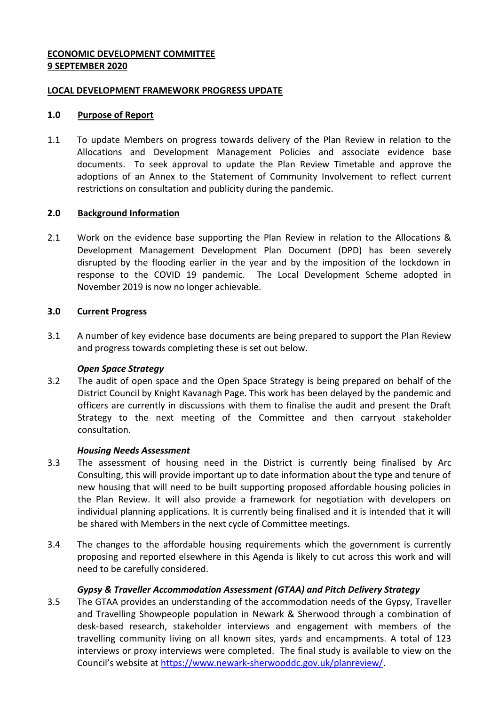### **ECONOMIC DEVELOPMENT COMMITTEE 9 SEPTEMBER 2020**

### **LOCAL DEVELOPMENT FRAMEWORK PROGRESS UPDATE**

### **1.0 Purpose of Report**

1.1 To update Members on progress towards delivery of the Plan Review in relation to the Allocations and Development Management Policies and associate evidence base documents. To seek approval to update the Plan Review Timetable and approve the adoptions of an Annex to the Statement of Community Involvement to reflect current restrictions on consultation and publicity during the pandemic.

### **2.0 Background Information**

2.1 Work on the evidence base supporting the Plan Review in relation to the Allocations & Development Management Development Plan Document (DPD) has been severely disrupted by the flooding earlier in the year and by the imposition of the lockdown in response to the COVID 19 pandemic. The Local Development Scheme adopted in November 2019 is now no longer achievable.

# **3.0 Current Progress**

3.1 A number of key evidence base documents are being prepared to support the Plan Review and progress towards completing these is set out below.

### *Open Space Strategy*

3.2 The audit of open space and the Open Space Strategy is being prepared on behalf of the District Council by Knight Kavanagh Page. This work has been delayed by the pandemic and officers are currently in discussions with them to finalise the audit and present the Draft Strategy to the next meeting of the Committee and then carryout stakeholder consultation.

### *Housing Needs Assessment*

- 3.3 The assessment of housing need in the District is currently being finalised by Arc Consulting, this will provide important up to date information about the type and tenure of new housing that will need to be built supporting proposed affordable housing policies in the Plan Review. It will also provide a framework for negotiation with developers on individual planning applications. It is currently being finalised and it is intended that it will be shared with Members in the next cycle of Committee meetings.
- 3.4 The changes to the affordable housing requirements which the government is currently proposing and reported elsewhere in this Agenda is likely to cut across this work and will need to be carefully considered.

# *Gypsy & Traveller Accommodation Assessment (GTAA) and Pitch Delivery Strategy*

3.5 The GTAA provides an understanding of the accommodation needs of the Gypsy, Traveller and Travelling Showpeople population in Newark & Sherwood through a combination of desk-based research, stakeholder interviews and engagement with members of the travelling community living on all known sites, yards and encampments. A total of 123 interviews or proxy interviews were completed. The final study is available to view on the Council's website at [https://www.newark-sherwooddc.gov.uk/planreview/.](https://www.newark-sherwooddc.gov.uk/planreview/)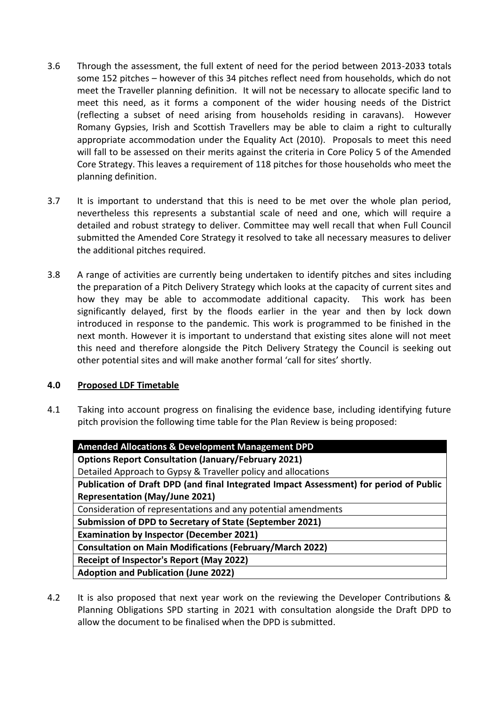- 3.6 Through the assessment, the full extent of need for the period between 2013-2033 totals some 152 pitches – however of this 34 pitches reflect need from households, which do not meet the Traveller planning definition. It will not be necessary to allocate specific land to meet this need, as it forms a component of the wider housing needs of the District (reflecting a subset of need arising from households residing in caravans). However Romany Gypsies, Irish and Scottish Travellers may be able to claim a right to culturally appropriate accommodation under the Equality Act (2010). Proposals to meet this need will fall to be assessed on their merits against the criteria in Core Policy 5 of the Amended Core Strategy. This leaves a requirement of 118 pitches for those households who meet the planning definition.
- 3.7 It is important to understand that this is need to be met over the whole plan period, nevertheless this represents a substantial scale of need and one, which will require a detailed and robust strategy to deliver. Committee may well recall that when Full Council submitted the Amended Core Strategy it resolved to take all necessary measures to deliver the additional pitches required.
- 3.8 A range of activities are currently being undertaken to identify pitches and sites including the preparation of a Pitch Delivery Strategy which looks at the capacity of current sites and how they may be able to accommodate additional capacity. This work has been significantly delayed, first by the floods earlier in the year and then by lock down introduced in response to the pandemic. This work is programmed to be finished in the next month. However it is important to understand that existing sites alone will not meet this need and therefore alongside the Pitch Delivery Strategy the Council is seeking out other potential sites and will make another formal 'call for sites' shortly.

# **4.0 Proposed LDF Timetable**

4.1 Taking into account progress on finalising the evidence base, including identifying future pitch provision the following time table for the Plan Review is being proposed:

| <b>Amended Allocations &amp; Development Management DPD</b>                            |
|----------------------------------------------------------------------------------------|
| <b>Options Report Consultation (January/February 2021)</b>                             |
| Detailed Approach to Gypsy & Traveller policy and allocations                          |
| Publication of Draft DPD (and final Integrated Impact Assessment) for period of Public |
| <b>Representation (May/June 2021)</b>                                                  |
| Consideration of representations and any potential amendments                          |
| Submission of DPD to Secretary of State (September 2021)                               |
| <b>Examination by Inspector (December 2021)</b>                                        |
| <b>Consultation on Main Modifications (February/March 2022)</b>                        |
| Receipt of Inspector's Report (May 2022)                                               |
| <b>Adoption and Publication (June 2022)</b>                                            |

4.2 It is also proposed that next year work on the reviewing the Developer Contributions & Planning Obligations SPD starting in 2021 with consultation alongside the Draft DPD to allow the document to be finalised when the DPD is submitted.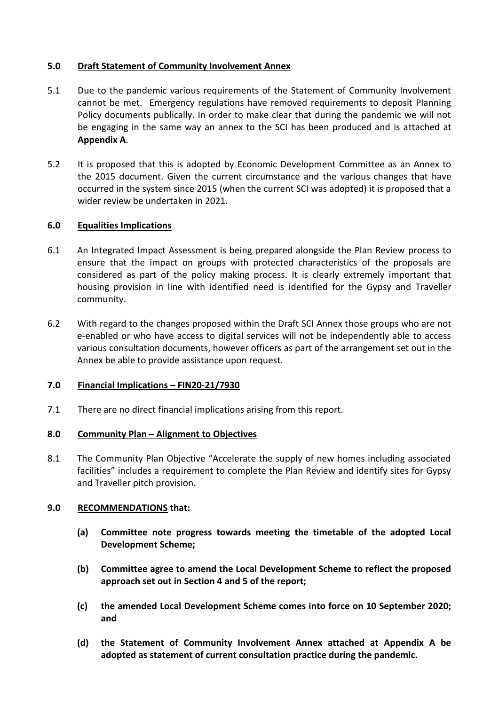### **5.0 Draft Statement of Community Involvement Annex**

- 5.1 Due to the pandemic various requirements of the Statement of Community Involvement cannot be met. Emergency regulations have removed requirements to deposit Planning Policy documents publically. In order to make clear that during the pandemic we will not be engaging in the same way an annex to the SCI has been produced and is attached at **Appendix A**.
- 5.2 It is proposed that this is adopted by Economic Development Committee as an Annex to the 2015 document. Given the current circumstance and the various changes that have occurred in the system since 2015 (when the current SCI was adopted) it is proposed that a wider review be undertaken in 2021.

# **6.0 Equalities Implications**

- 6.1 An Integrated Impact Assessment is being prepared alongside the Plan Review process to ensure that the impact on groups with protected characteristics of the proposals are considered as part of the policy making process. It is clearly extremely important that housing provision in line with identified need is identified for the Gypsy and Traveller community.
- 6.2 With regard to the changes proposed within the Draft SCI Annex those groups who are not e-enabled or who have access to digital services will not be independently able to access various consultation documents, however officers as part of the arrangement set out in the Annex be able to provide assistance upon request.

### **7.0 Financial Implications – FIN20-21/7930**

7.1 There are no direct financial implications arising from this report.

### **8.0 Community Plan – Alignment to Objectives**

8.1 The Community Plan Objective "Accelerate the supply of new homes including associated facilities" includes a requirement to complete the Plan Review and identify sites for Gypsy and Traveller pitch provision.

### **9.0 RECOMMENDATIONS that:**

- **(a) Committee note progress towards meeting the timetable of the adopted Local Development Scheme;**
- **(b) Committee agree to amend the Local Development Scheme to reflect the proposed approach set out in Section 4 and 5 of the report;**
- **(c) the amended Local Development Scheme comes into force on 10 September 2020; and**
- **(d) the Statement of Community Involvement Annex attached at Appendix A be adopted as statement of current consultation practice during the pandemic.**